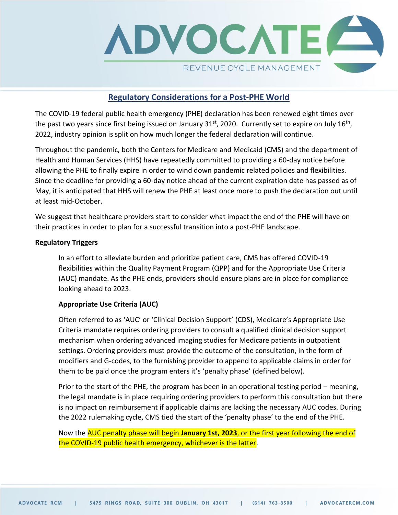

# **Regulatory Considerations for a Post-PHE World**

The COVID-19 federal public health emergency (PHE) declaration has been renewed eight times over the past two years since first being issued on January 31<sup>st</sup>, 2020. Currently set to expire on July 16<sup>th</sup>, 2022, industry opinion is split on how much longer the federal declaration will continue.

Throughout the pandemic, both the Centers for Medicare and Medicaid (CMS) and the department of Health and Human Services (HHS) have repeatedly committed to providing a 60-day notice before allowing the PHE to finally expire in order to wind down pandemic related policies and flexibilities. Since the deadline for providing a 60-day notice ahead of the current expiration date has passed as of May, it is anticipated that HHS will renew the PHE at least once more to push the declaration out until at least mid-October.

We suggest that healthcare providers start to consider what impact the end of the PHE will have on their practices in order to plan for a successful transition into a post-PHE landscape.

#### **Regulatory Triggers**

In an effort to alleviate burden and prioritize patient care, CMS has offered COVID-19 flexibilities within the Quality Payment Program (QPP) and for the Appropriate Use Criteria (AUC) mandate. As the PHE ends, providers should ensure plans are in place for compliance looking ahead to 2023.

### **Appropriate Use Criteria (AUC)**

Often referred to as 'AUC' or 'Clinical Decision Support' (CDS), Medicare's Appropriate Use Criteria mandate requires ordering providers to consult a qualified clinical decision support mechanism when ordering advanced imaging studies for Medicare patients in outpatient settings. Ordering providers must provide the outcome of the consultation, in the form of modifiers and G-codes, to the furnishing provider to append to applicable claims in order for them to be paid once the program enters it's 'penalty phase' (defined below).

Prior to the start of the PHE, the program has been in an operational testing period – meaning, the legal mandate is in place requiring ordering providers to perform this consultation but there is no impact on reimbursement if applicable claims are lacking the necessary AUC codes. During the 2022 rulemaking cycle, CMS tied the start of the 'penalty phase' to the end of the PHE.

Now the AUC penalty phase will begin **January 1st, 2023**, or the first year following the end of the COVID-19 public health emergency, whichever is the latter.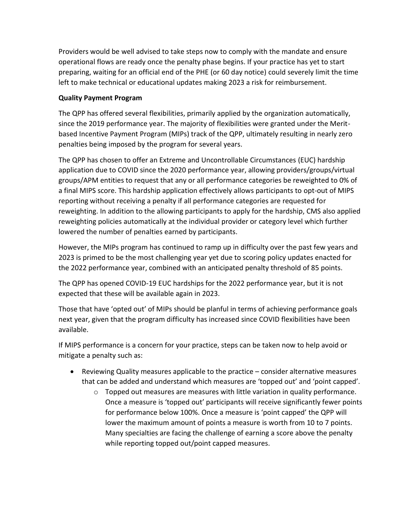Providers would be well advised to take steps now to comply with the mandate and ensure operational flows are ready once the penalty phase begins. If your practice has yet to start preparing, waiting for an official end of the PHE (or 60 day notice) could severely limit the time left to make technical or educational updates making 2023 a risk for reimbursement.

## **Quality Payment Program**

The QPP has offered several flexibilities, primarily applied by the organization automatically, since the 2019 performance year. The majority of flexibilities were granted under the Meritbased Incentive Payment Program (MIPs) track of the QPP, ultimately resulting in nearly zero penalties being imposed by the program for several years.

The QPP has chosen to offer an Extreme and Uncontrollable Circumstances (EUC) hardship application due to COVID since the 2020 performance year, allowing providers/groups/virtual groups/APM entities to request that any or all performance categories be reweighted to 0% of a final MIPS score. This hardship application effectively allows participants to opt-out of MIPS reporting without receiving a penalty if all performance categories are requested for reweighting. In addition to the allowing participants to apply for the hardship, CMS also applied reweighting policies automatically at the individual provider or category level which further lowered the number of penalties earned by participants.

However, the MIPs program has continued to ramp up in difficulty over the past few years and 2023 is primed to be the most challenging year yet due to scoring policy updates enacted for the 2022 performance year, combined with an anticipated penalty threshold of 85 points.

The QPP has opened COVID-19 EUC hardships for the 2022 performance year, but it is not expected that these will be available again in 2023.

Those that have 'opted out' of MIPs should be planful in terms of achieving performance goals next year, given that the program difficulty has increased since COVID flexibilities have been available.

If MIPS performance is a concern for your practice, steps can be taken now to help avoid or mitigate a penalty such as:

- Reviewing Quality measures applicable to the practice consider alternative measures that can be added and understand which measures are 'topped out' and 'point capped'.
	- $\circ$  Topped out measures are measures with little variation in quality performance. Once a measure is 'topped out' participants will receive significantly fewer points for performance below 100%. Once a measure is 'point capped' the QPP will lower the maximum amount of points a measure is worth from 10 to 7 points. Many specialties are facing the challenge of earning a score above the penalty while reporting topped out/point capped measures.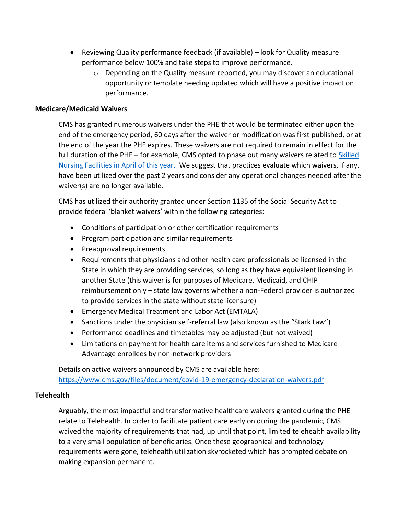- Reviewing Quality performance feedback (if available) look for Quality measure performance below 100% and take steps to improve performance.
	- $\circ$  Depending on the Quality measure reported, you may discover an educational opportunity or template needing updated which will have a positive impact on performance.

### **Medicare/Medicaid Waivers**

CMS has granted numerous waivers under the PHE that would be terminated either upon the end of the emergency period, 60 days after the waiver or modification was first published, or at the end of the year the PHE expires. These waivers are not required to remain in effect for the full duration of the PHE – for example, CMS opted to phase out many waivers related to Skilled [Nursing Facilities in April of this year.](https://www.cms.gov/newsroom/press-releases/cms-returning-certain-pre-covid-19-policies-long-term-care-and-other-facilities) We suggest that practices evaluate which waivers, if any, have been utilized over the past 2 years and consider any operational changes needed after the waiver(s) are no longer available.

CMS has utilized their authority granted under Section 1135 of the Social Security Act to provide federal 'blanket waivers' within the following categories:

- Conditions of participation or other certification requirements
- Program participation and similar requirements
- Preapproval requirements
- Requirements that physicians and other health care professionals be licensed in the State in which they are providing services, so long as they have equivalent licensing in another State (this waiver is for purposes of Medicare, Medicaid, and CHIP reimbursement only – state law governs whether a non-Federal provider is authorized to provide services in the state without state licensure)
- Emergency Medical Treatment and Labor Act (EMTALA)
- Sanctions under the physician self-referral law (also known as the "Stark Law")
- Performance deadlines and timetables may be adjusted (but not waived)
- Limitations on payment for health care items and services furnished to Medicare Advantage enrollees by non-network providers

Details on active waivers announced by CMS are available here: <https://www.cms.gov/files/document/covid-19-emergency-declaration-waivers.pdf>

#### **Telehealth**

Arguably, the most impactful and transformative healthcare waivers granted during the PHE relate to Telehealth. In order to facilitate patient care early on during the pandemic, CMS waived the majority of requirements that had, up until that point, limited telehealth availability to a very small population of beneficiaries. Once these geographical and technology requirements were gone, telehealth utilization skyrocketed which has prompted debate on making expansion permanent.